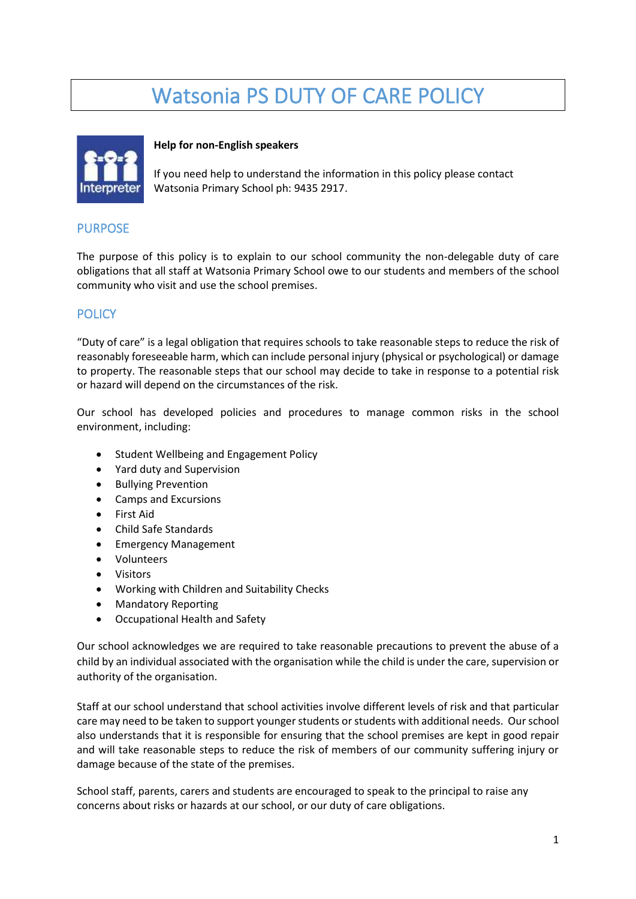# Watsonia PS DUTY OF CARE POLICY



#### **Help for non-English speakers**

If you need help to understand the information in this policy please contact Watsonia Primary School ph: 9435 2917.

## PURPOSE

The purpose of this policy is to explain to our school community the non-delegable duty of care obligations that all staff at Watsonia Primary School owe to our students and members of the school community who visit and use the school premises.

## **POLICY**

"Duty of care" is a legal obligation that requires schools to take reasonable steps to reduce the risk of reasonably foreseeable harm, which can include personal injury (physical or psychological) or damage to property. The reasonable steps that our school may decide to take in response to a potential risk or hazard will depend on the circumstances of the risk.

Our school has developed policies and procedures to manage common risks in the school environment, including:

- Student Wellbeing and Engagement Policy
- Yard duty and Supervision
- Bullying Prevention
- Camps and Excursions
- First Aid
- Child Safe Standards
- Emergency Management
- Volunteers
- Visitors
- Working with Children and Suitability Checks
- Mandatory Reporting
- Occupational Health and Safety

Our school acknowledges we are required to take reasonable precautions to prevent the abuse of a child by an individual associated with the organisation while the child is under the care, supervision or authority of the organisation.

Staff at our school understand that school activities involve different levels of risk and that particular care may need to be taken to support younger students or students with additional needs. Our school also understands that it is responsible for ensuring that the school premises are kept in good repair and will take reasonable steps to reduce the risk of members of our community suffering injury or damage because of the state of the premises.

School staff, parents, carers and students are encouraged to speak to the principal to raise any concerns about risks or hazards at our school, or our duty of care obligations.